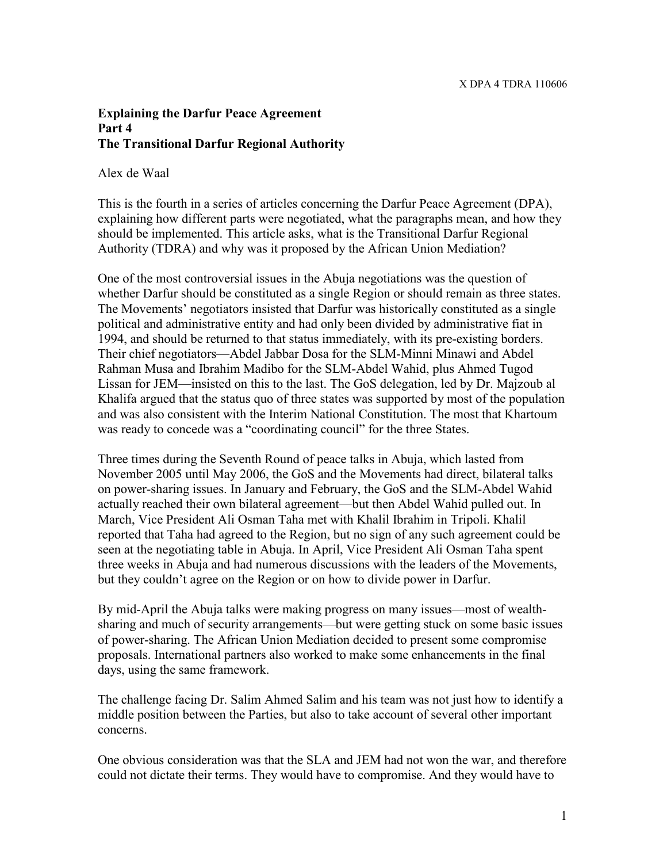## **Explaining the Darfur Peace Agreement Part 4 The Transitional Darfur Regional Authority**

Alex de Waal

This is the fourth in a series of articles concerning the Darfur Peace Agreement (DPA), explaining how different parts were negotiated, what the paragraphs mean, and how they should be implemented. This article asks, what is the Transitional Darfur Regional Authority (TDRA) and why was it proposed by the African Union Mediation?

One of the most controversial issues in the Abuja negotiations was the question of whether Darfur should be constituted as a single Region or should remain as three states. The Movements' negotiators insisted that Darfur was historically constituted as a single political and administrative entity and had only been divided by administrative fiat in 1994, and should be returned to that status immediately, with its pre-existing borders. Their chief negotiators—Abdel Jabbar Dosa for the SLM-Minni Minawi and Abdel Rahman Musa and Ibrahim Madibo for the SLM-Abdel Wahid, plus Ahmed Tugod Lissan for JEM—insisted on this to the last. The GoS delegation, led by Dr. Majzoub al Khalifa argued that the status quo of three states was supported by most of the population and was also consistent with the Interim National Constitution. The most that Khartoum was ready to concede was a "coordinating council" for the three States.

Three times during the Seventh Round of peace talks in Abuja, which lasted from November 2005 until May 2006, the GoS and the Movements had direct, bilateral talks on power-sharing issues. In January and February, the GoS and the SLM-Abdel Wahid actually reached their own bilateral agreement—but then Abdel Wahid pulled out. In March, Vice President Ali Osman Taha met with Khalil Ibrahim in Tripoli. Khalil reported that Taha had agreed to the Region, but no sign of any such agreement could be seen at the negotiating table in Abuja. In April, Vice President Ali Osman Taha spent three weeks in Abuja and had numerous discussions with the leaders of the Movements, but they couldn't agree on the Region or on how to divide power in Darfur.

By mid-April the Abuja talks were making progress on many issues—most of wealthsharing and much of security arrangements—but were getting stuck on some basic issues of power-sharing. The African Union Mediation decided to present some compromise proposals. International partners also worked to make some enhancements in the final days, using the same framework.

The challenge facing Dr. Salim Ahmed Salim and his team was not just how to identify a middle position between the Parties, but also to take account of several other important concerns.

One obvious consideration was that the SLA and JEM had not won the war, and therefore could not dictate their terms. They would have to compromise. And they would have to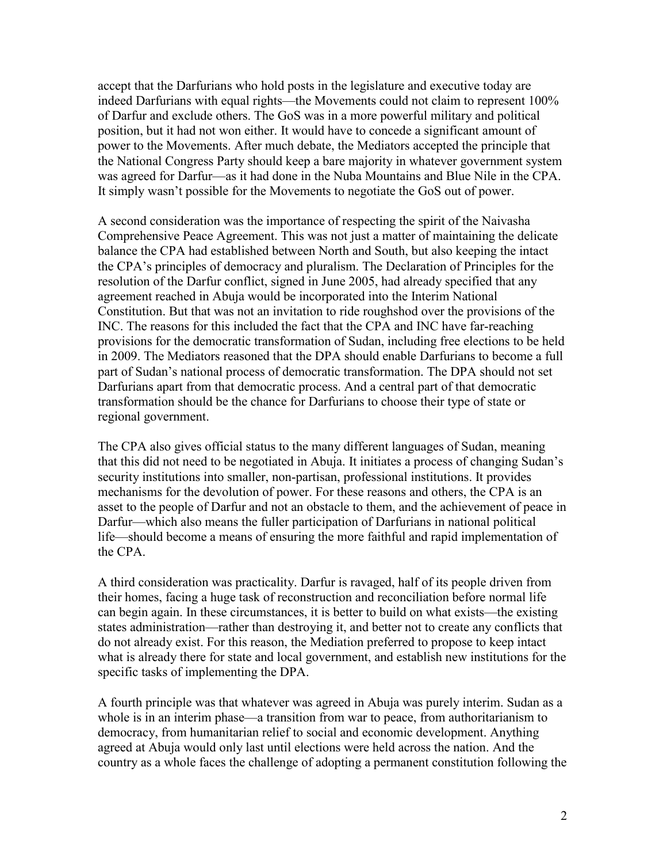accept that the Darfurians who hold posts in the legislature and executive today are indeed Darfurians with equal rights—the Movements could not claim to represent 100% of Darfur and exclude others. The GoS was in a more powerful military and political position, but it had not won either. It would have to concede a significant amount of power to the Movements. After much debate, the Mediators accepted the principle that the National Congress Party should keep a bare majority in whatever government system was agreed for Darfur—as it had done in the Nuba Mountains and Blue Nile in the CPA. It simply wasn't possible for the Movements to negotiate the GoS out of power.

A second consideration was the importance of respecting the spirit of the Naivasha Comprehensive Peace Agreement. This was not just a matter of maintaining the delicate balance the CPA had established between North and South, but also keeping the intact the CPA's principles of democracy and pluralism. The Declaration of Principles for the resolution of the Darfur conflict, signed in June 2005, had already specified that any agreement reached in Abuja would be incorporated into the Interim National Constitution. But that was not an invitation to ride roughshod over the provisions of the INC. The reasons for this included the fact that the CPA and INC have far-reaching provisions for the democratic transformation of Sudan, including free elections to be held in 2009. The Mediators reasoned that the DPA should enable Darfurians to become a full part of Sudan's national process of democratic transformation. The DPA should not set Darfurians apart from that democratic process. And a central part of that democratic transformation should be the chance for Darfurians to choose their type of state or regional government.

The CPA also gives official status to the many different languages of Sudan, meaning that this did not need to be negotiated in Abuja. It initiates a process of changing Sudan's security institutions into smaller, non-partisan, professional institutions. It provides mechanisms for the devolution of power. For these reasons and others, the CPA is an asset to the people of Darfur and not an obstacle to them, and the achievement of peace in Darfur—which also means the fuller participation of Darfurians in national political life—should become a means of ensuring the more faithful and rapid implementation of the CPA.

A third consideration was practicality. Darfur is ravaged, half of its people driven from their homes, facing a huge task of reconstruction and reconciliation before normal life can begin again. In these circumstances, it is better to build on what exists—the existing states administration—rather than destroying it, and better not to create any conflicts that do not already exist. For this reason, the Mediation preferred to propose to keep intact what is already there for state and local government, and establish new institutions for the specific tasks of implementing the DPA.

A fourth principle was that whatever was agreed in Abuja was purely interim. Sudan as a whole is in an interim phase—a transition from war to peace, from authoritarianism to democracy, from humanitarian relief to social and economic development. Anything agreed at Abuja would only last until elections were held across the nation. And the country as a whole faces the challenge of adopting a permanent constitution following the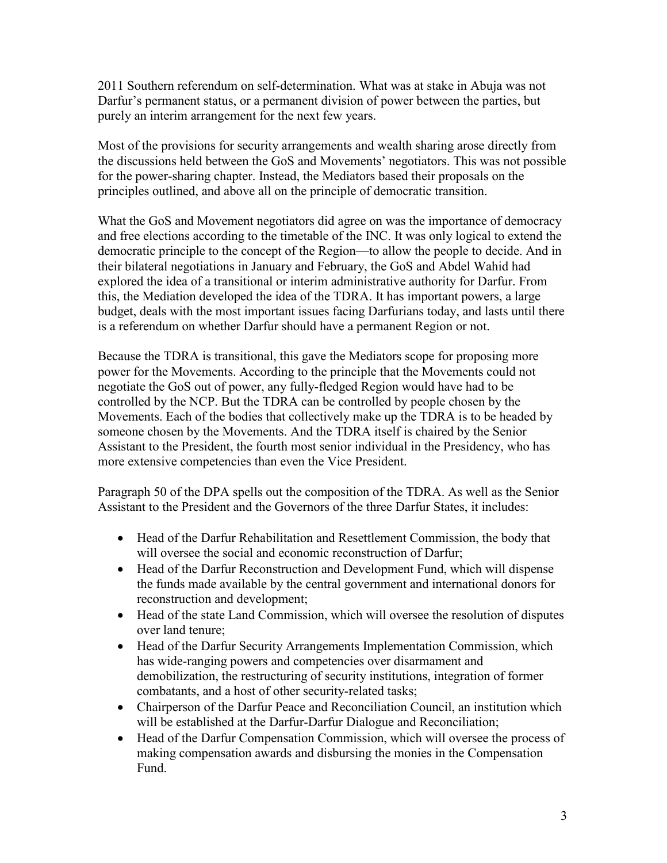2011 Southern referendum on self-determination. What was at stake in Abuja was not Darfur's permanent status, or a permanent division of power between the parties, but purely an interim arrangement for the next few years.

Most of the provisions for security arrangements and wealth sharing arose directly from the discussions held between the GoS and Movements' negotiators. This was not possible for the power-sharing chapter. Instead, the Mediators based their proposals on the principles outlined, and above all on the principle of democratic transition.

What the GoS and Movement negotiators did agree on was the importance of democracy and free elections according to the timetable of the INC. It was only logical to extend the democratic principle to the concept of the Region—to allow the people to decide. And in their bilateral negotiations in January and February, the GoS and Abdel Wahid had explored the idea of a transitional or interim administrative authority for Darfur. From this, the Mediation developed the idea of the TDRA. It has important powers, a large budget, deals with the most important issues facing Darfurians today, and lasts until there is a referendum on whether Darfur should have a permanent Region or not.

Because the TDRA is transitional, this gave the Mediators scope for proposing more power for the Movements. According to the principle that the Movements could not negotiate the GoS out of power, any fully-fledged Region would have had to be controlled by the NCP. But the TDRA can be controlled by people chosen by the Movements. Each of the bodies that collectively make up the TDRA is to be headed by someone chosen by the Movements. And the TDRA itself is chaired by the Senior Assistant to the President, the fourth most senior individual in the Presidency, who has more extensive competencies than even the Vice President.

Paragraph 50 of the DPA spells out the composition of the TDRA. As well as the Senior Assistant to the President and the Governors of the three Darfur States, it includes:

- Head of the Darfur Rehabilitation and Resettlement Commission, the body that will oversee the social and economic reconstruction of Darfur;
- Head of the Darfur Reconstruction and Development Fund, which will dispense the funds made available by the central government and international donors for reconstruction and development;
- Head of the state Land Commission, which will oversee the resolution of disputes over land tenure;
- Head of the Darfur Security Arrangements Implementation Commission, which has wide-ranging powers and competencies over disarmament and demobilization, the restructuring of security institutions, integration of former combatants, and a host of other security-related tasks;
- Chairperson of the Darfur Peace and Reconciliation Council, an institution which will be established at the Darfur-Darfur Dialogue and Reconciliation;
- Head of the Darfur Compensation Commission, which will oversee the process of making compensation awards and disbursing the monies in the Compensation Fund.